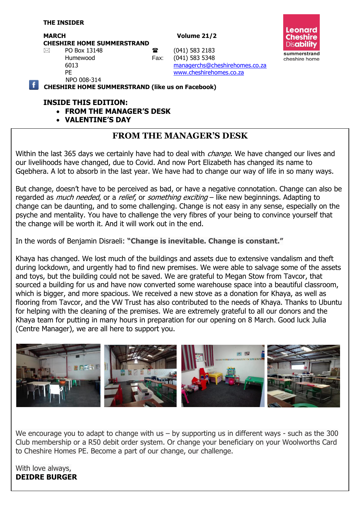MARCH Volume 21/2

**CHESHIRE HOME SUMMERSTRAND**



 $\boxtimes$  PO Box 13148 **a** (041) 583 2183 Humewood Fax: (041) 583 5348

NPO 008-314

6013 [managerchs@cheshirehomes.co.za](mailto:managerchs@cheshirehomes.co.za) PE [www.cheshirehomes.co.za](http://www.cheshirehomes.co.za/)

**CHESHIRE HOME SUMMERSTRAND (like us on Facebook)**

#### **INSIDE THIS EDITION:**

- **FROM THE MANAGER'S DESK**
- **VALENTINE'S DAY**

### **FROM THE MANAGER'S DESK**

Within the last 365 days we certainly have had to deal with *change*. We have changed our lives and our livelihoods have changed, due to Covid. And now Port Elizabeth has changed its name to Gqebhera. A lot to absorb in the last year. We have had to change our way of life in so many ways.

But change, doesn't have to be perceived as bad, or have a negative connotation. Change can also be regarded as *much needed,* or a *relief,* or *something exciting* – like new beginnings. Adapting to change can be daunting, and to some challenging. Change is not easy in any sense, especially on the psyche and mentality. You have to challenge the very fibres of your being to convince yourself that the change will be worth it. And it will work out in the end.

In the words of Benjamin Disraeli: **"Change is inevitable. Change is constant."**

Khaya has changed. We lost much of the buildings and assets due to extensive vandalism and theft during lockdown, and urgently had to find new premises. We were able to salvage some of the assets and toys, but the building could not be saved. We are grateful to Megan Stow from Tavcor, that sourced a building for us and have now converted some warehouse space into a beautiful classroom, which is bigger, and more spacious. We received a new stove as a donation for Khaya, as well as flooring from Tavcor, and the VW Trust has also contributed to the needs of Khaya. Thanks to Ubuntu for helping with the cleaning of the premises. We are extremely grateful to all our donors and the Khaya team for putting in many hours in preparation for our opening on 8 March. Good luck Julia (Centre Manager), we are all here to support you.



We encourage you to adapt to change with us  $-$  by supporting us in different ways  $-$  such as the 300 Club membership or a R50 debit order system. Or change your beneficiary on your Woolworths Card to Cheshire Homes PE. Become a part of our change, our challenge.

With love always, **DEIDRE BURGER**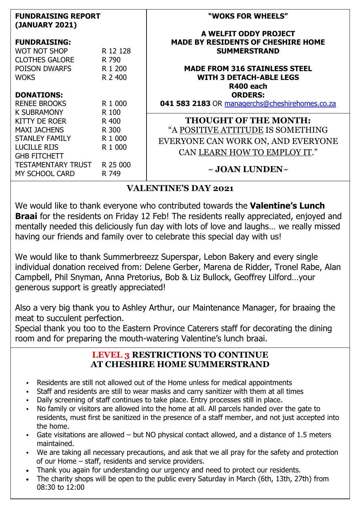| <b>FUNDRAISING REPORT</b><br>(JANUARY 2021) |                    | "WOKS FOR WHEELS"                              |
|---------------------------------------------|--------------------|------------------------------------------------|
|                                             |                    | A WELFIT ODDY PROJECT                          |
| <b>FUNDRAISING:</b>                         |                    | <b>MADE BY RESIDENTS OF CHESHIRE HOME</b>      |
| <b>WOT NOT SHOP</b>                         | R 12 128           | <b>SUMMERSTRAND</b>                            |
| <b>CLOTHES GALORE</b>                       | R 790              |                                                |
| POISON DWARFS                               | R <sub>1</sub> 200 | <b>MADE FROM 316 STAINLESS STEEL</b>           |
| <b>WOKS</b>                                 | R 2 400            | <b>WITH 3 DETACH-ABLE LEGS</b>                 |
|                                             |                    | R400 each                                      |
| <b>DONATIONS:</b>                           |                    | <b>ORDERS:</b>                                 |
| <b>RENEE BROOKS</b>                         | R 1 000            | 041 583 2183 OR managerchs@cheshirehomes.co.za |
| <b>K SUBRAMONY</b>                          | R 100              |                                                |
| KITTY DE ROER                               | R 400              | <b>THOUGHT OF THE MONTH:</b>                   |
| <b>MAXI JACHENS</b>                         | R 300              | "A POSITIVE ATTITUDE IS SOMETHING              |
| <b>STANLEY FAMILY</b>                       | R 1 000            | EVERYONE CAN WORK ON, AND EVERYONE             |
| <b>LUCILLE RIJS</b>                         | R 1 000            |                                                |
| <b>GHB FITCHETT</b>                         |                    | CAN LEARN HOW TO EMPLOY IT."                   |
| <b>TESTAMENTARY TRUST</b>                   | R 25 000           |                                                |
| MY SCHOOL CARD                              | R 749              | $\sim$ JOAN LUNDEN $\sim$                      |

### **VALENTINE'S DAY 2021**

We would like to thank everyone who contributed towards the **Valentine's Lunch Braai** for the residents on Friday 12 Feb! The residents really appreciated, enjoyed and mentally needed this deliciously fun day with lots of love and laughs… we really missed having our friends and family over to celebrate this special day with us!

We would like to thank Summerbreezz Superspar, Lebon Bakery and every single individual donation received from: Delene Gerber, Marena de Ridder, Tronel Rabe, Alan Campbell, Phil Snyman, Anna Pretorius, Bob & Liz Bullock, Geoffrey Lilford…your generous support is greatly appreciated!

Also a very big thank you to Ashley Arthur, our Maintenance Manager, for braaing the meat to succulent perfection.

Special thank you too to the Eastern Province Caterers staff for decorating the dining room and for preparing the mouth-watering Valentine's lunch braai.

### **LEVEL 3 RESTRICTIONS TO CONTINUE AT CHESHIRE HOME SUMMERSTRAND**

- Residents are still not allowed out of the Home unless for medical appointments
- Staff and residents are still to wear masks and carry sanitizer with them at all times
- Daily screening of staff continues to take place. Entry processes still in place.
- No family or visitors are allowed into the home at all. All parcels handed over the gate to residents, must first be sanitized in the presence of a staff member, and not just accepted into the home.
- Gate visitations are allowed but NO physical contact allowed, and a distance of 1.5 meters maintained.
- We are taking all necessary precautions, and ask that we all pray for the safety and protection of our Home – staff, residents and service providers.
- Thank you again for understanding our urgency and need to protect our residents.
- The charity shops will be open to the public every Saturday in March (6th, 13th, 27th) from 08:30 to 12:00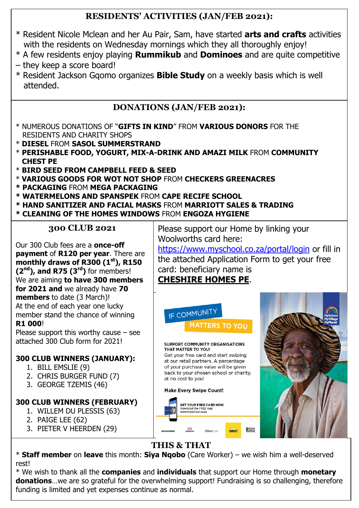## **RESIDENTS' ACTIVITIES (JAN/FEB 2021):**

- \* Resident Nicole Mclean and her Au Pair, Sam, have started **arts and crafts** activities with the residents on Wednesday mornings which they all thoroughly enjoy!
- \* A few residents enjoy playing **Rummikub** and **Dominoes** and are quite competitive
- they keep a score board!
- \* Resident Jackson Gqomo organizes **Bible Study** on a weekly basis which is well attended.

## **DONATIONS (JAN/FEB 2021):**

- \* NUMEROUS DONATIONS OF "**GIFTS IN KIND**" FROM **VARIOUS DONORS** FOR THE RESIDENTS AND CHARITY SHOPS
- \* **DIESEL** FROM **SASOL SUMMERSTRAND**
- \* **PERISHABLE FOOD, YOGURT, MIX-A-DRINK AND AMAZI MILK** FROM **COMMUNITY CHEST PE**
- \* **BIRD SEED FROM CAMPBELL FEED & SEED**
- \* **VARIOUS GOODS FOR WOT NOT SHOP** FROM **CHECKERS GREENACRES**
- **\* PACKAGING** FROM **MEGA PACKAGING**
- **\* WATERMELONS AND SPANSPEK** FROM **CAPE RECIFE SCHOOL**
- **\* HAND SANITIZER AND FACIAL MASKS** FROM **MARRIOTT SALES & TRADING \* CLEANING OF THE HOMES WINDOWS** FROM **ENGOZA HYGIENE**

### **300 CLUB 2021**

Our 300 Club fees are a **once-off payment** of **R120 per year**. There are **monthly draws of R300 (1st), R150 (2nd), and R75 (3rd)** for members! We are aiming **to have 300 members for 2021 and** we already have **70 members** to date (3 March)! At the end of each year one lucky member stand the chance of winning **R1 000**!

Please support this worthy cause  $-$  see attached 300 Club form for 2021!

## **300 CLUB WINNERS (JANUARY):**

- 1. BILL EMSLIE (9)
- 2. CHRIS BURGER FUND (7)
- 3. GEORGE TZEMIS (46)

## **300 CLUB WINNERS (FEBRUARY)**

- 1. WILLEM DU PLESSIS (63)
- 2. PAIGE LEE (62)
- 3. PIETER V HEERDEN (29)

Please support our Home by linking your Woolworths card here: <https://www.myschool.co.za/portal/login> or fill in

the attached Application Form to get your free card: beneficiary name is **CHESHIRE HOMES PE**.



## **THIS & THAT**

\* **Staff member** on **leave** this month: **Siya Nqobo** (Care Worker) – we wish him a well-deserved rest!

\* We wish to thank all the **companies** and **individuals** that support our Home through **monetary donations**…we are so grateful for the overwhelming support! Fundraising is so challenging, therefore funding is limited and yet expenses continue as normal.